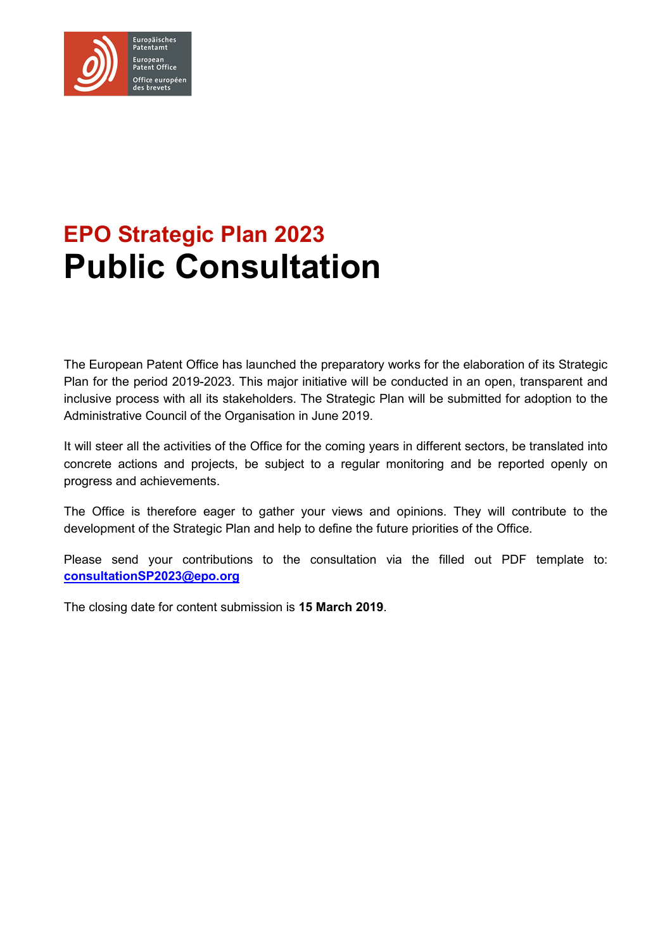

# **EPO Strategic Plan 2023 Public Consultation**

The European Patent Office has launched the preparatory works for the elaboration of its Strategic Plan for the period 2019-2023. This major initiative will be conducted in an open, transparent and inclusive process with all its stakeholders. The Strategic Plan will be submitted for adoption to the Administrative Council of the Organisation in June 2019.

It will steer all the activities of the Office for the coming years in different sectors, be translated into concrete actions and projects, be subject to a regular monitoring and be reported openly on progress and achievements.

The Office is therefore eager to gather your views and opinions. They will contribute to the development of the Strategic Plan and help to define the future priorities of the Office.

Please send your contributions to the consultation via the filled out PDF template to: **consultationSP2023@epo.org**

The closing date for content submission is **15 March 2019**.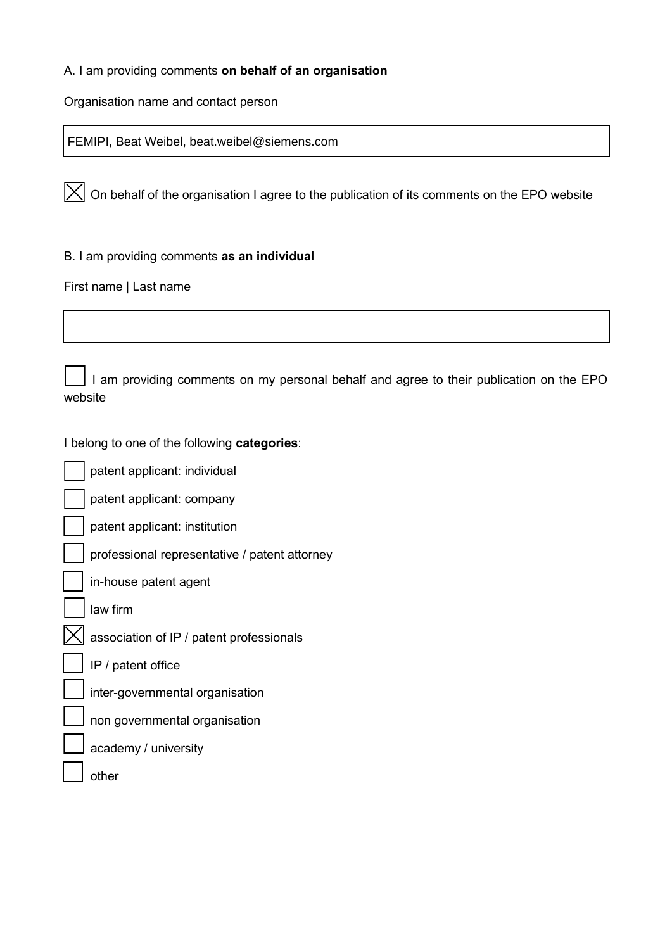# A. I am providing comments **on behalf of an organisation**

Organisation name and contact person

FEMIPI, Beat Weibel, beat.weibel@siemens.com

 $\boxed{\times}$  On behalf of the organisation I agree to the publication of its comments on the EPO website

B. I am providing comments **as an individual**

First name | Last name

I am providing comments on my personal behalf and agree to their publication on the EPO website

I belong to one of the following **categories**:

patent applicant: individual patent applicant: company patent applicant: institution ☐ professional representative / patent attorney in-house patent agent law firm association of IP / patent professionals ☐ IP / patent office inter-governmental organisation

☐ non governmental organisation

academy / university

other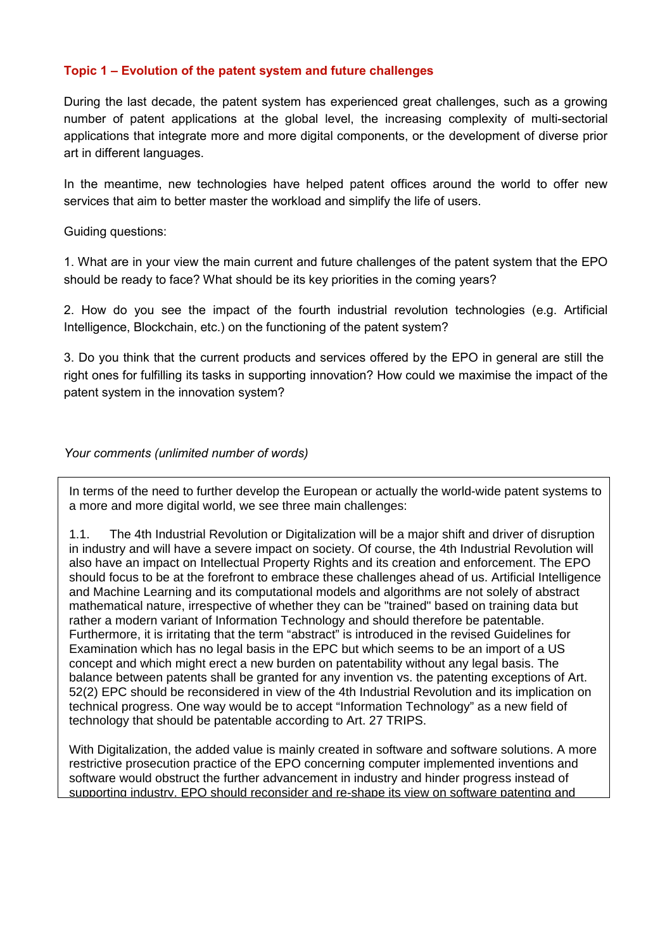# **Topic 1 – Evolution of the patent system and future challenges**

During the last decade, the patent system has experienced great challenges, such as a growing number of patent applications at the global level, the increasing complexity of multi-sectorial applications that integrate more and more digital components, or the development of diverse prior art in different languages.

In the meantime, new technologies have helped patent offices around the world to offer new services that aim to better master the workload and simplify the life of users.

Guiding questions:

1. What are in your view the main current and future challenges of the patent system that the EPO should be ready to face? What should be its key priorities in the coming years?

2. How do you see the impact of the fourth industrial revolution technologies (e.g. Artificial Intelligence, Blockchain, etc.) on the functioning of the patent system?

3. Do you think that the current products and services offered by the EPO in general are still the right ones for fulfilling its tasks in supporting innovation? How could we maximise the impact of the patent system in the innovation system?

## *Your comments (unlimited number of words)*

In terms of the need to further develop the European or actually the world-wide patent systems to a more and more digital world, we see three main challenges:

1.1. The 4th Industrial Revolution or Digitalization will be a major shift and driver of disruption in industry and will have a severe impact on society. Of course, the 4th Industrial Revolution will also have an impact on Intellectual Property Rights and its creation and enforcement. The EPO should focus to be at the forefront to embrace these challenges ahead of us. Artificial Intelligence and Machine Learning and its computational models and algorithms are not solely of abstract mathematical nature, irrespective of whether they can be "trained" based on training data but rather a modern variant of Information Technology and should therefore be patentable. Furthermore, it is irritating that the term "abstract" is introduced in the revised Guidelines for Examination which has no legal basis in the EPC but which seems to be an import of a US concept and which might erect a new burden on patentability without any legal basis. The balance between patents shall be granted for any invention vs. the patenting exceptions of Art. 52(2) EPC should be reconsidered in view of the 4th Industrial Revolution and its implication on technical progress. One way would be to accept "Information Technology" as a new field of technology that should be patentable according to Art. 27 TRIPS.

With Digitalization, the added value is mainly created in software and software solutions. A more restrictive prosecution practice of the EPO concerning computer implemented inventions and software would obstruct the further advancement in industry and hinder progress instead of supporting industry. EPO should reconsider and re-shape its view on software patenting and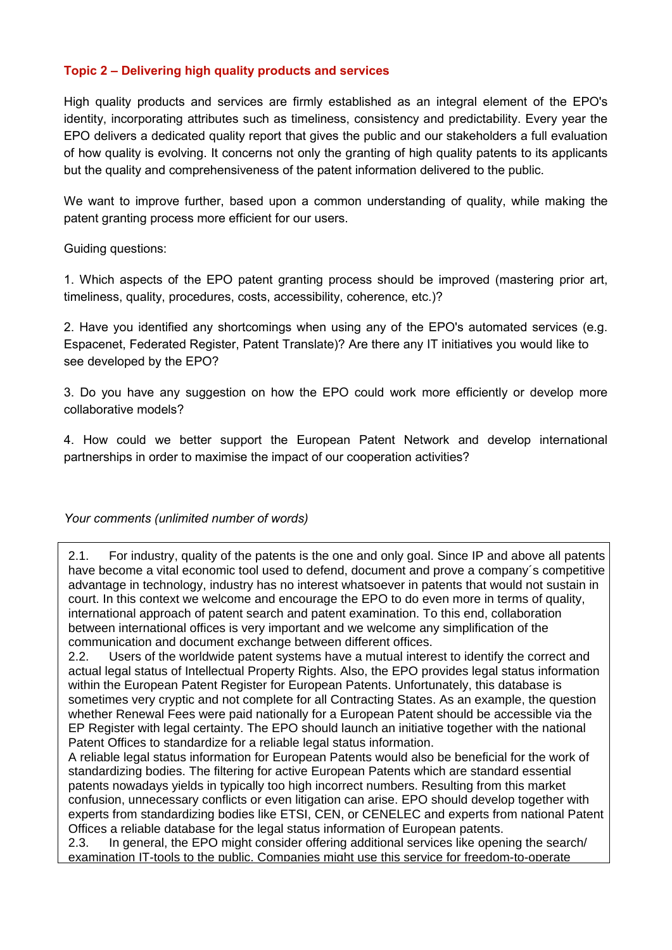# **Topic 2 – Delivering high quality products and services**

High quality products and services are firmly established as an integral element of the EPO's identity, incorporating attributes such as timeliness, consistency and predictability. Every year the EPO delivers a dedicated quality report that gives the public and our stakeholders a full evaluation of how quality is evolving. It concerns not only the granting of high quality patents to its applicants but the quality and comprehensiveness of the patent information delivered to the public.

We want to improve further, based upon a common understanding of quality, while making the patent granting process more efficient for our users.

Guiding questions:

1. Which aspects of the EPO patent granting process should be improved (mastering prior art, timeliness, quality, procedures, costs, accessibility, coherence, etc.)?

2. Have you identified any shortcomings when using any of the EPO's automated services (e.g. Espacenet, Federated Register, Patent Translate)? Are there any IT initiatives you would like to see developed by the EPO?

3. Do you have any suggestion on how the EPO could work more efficiently or develop more collaborative models?

4. How could we better support the European Patent Network and develop international partnerships in order to maximise the impact of our cooperation activities?

*Your comments (unlimited number of words)*

2.1. For industry, quality of the patents is the one and only goal. Since IP and above all patents have become a vital economic tool used to defend, document and prove a company´s competitive advantage in technology, industry has no interest whatsoever in patents that would not sustain in court. In this context we welcome and encourage the EPO to do even more in terms of quality, international approach of patent search and patent examination. To this end, collaboration between international offices is very important and we welcome any simplification of the communication and document exchange between different offices.

2.2. Users of the worldwide patent systems have a mutual interest to identify the correct and actual legal status of Intellectual Property Rights. Also, the EPO provides legal status information within the European Patent Register for European Patents. Unfortunately, this database is sometimes very cryptic and not complete for all Contracting States. As an example, the question whether Renewal Fees were paid nationally for a European Patent should be accessible via the EP Register with legal certainty. The EPO should launch an initiative together with the national Patent Offices to standardize for a reliable legal status information.

A reliable legal status information for European Patents would also be beneficial for the work of standardizing bodies. The filtering for active European Patents which are standard essential patents nowadays yields in typically too high incorrect numbers. Resulting from this market confusion, unnecessary conflicts or even litigation can arise. EPO should develop together with experts from standardizing bodies like ETSI, CEN, or CENELEC and experts from national Patent Offices a reliable database for the legal status information of European patents.

2.3. In general, the EPO might consider offering additional services like opening the search/ examination IT-tools to the public. Companies might use this service for freedom-to-operate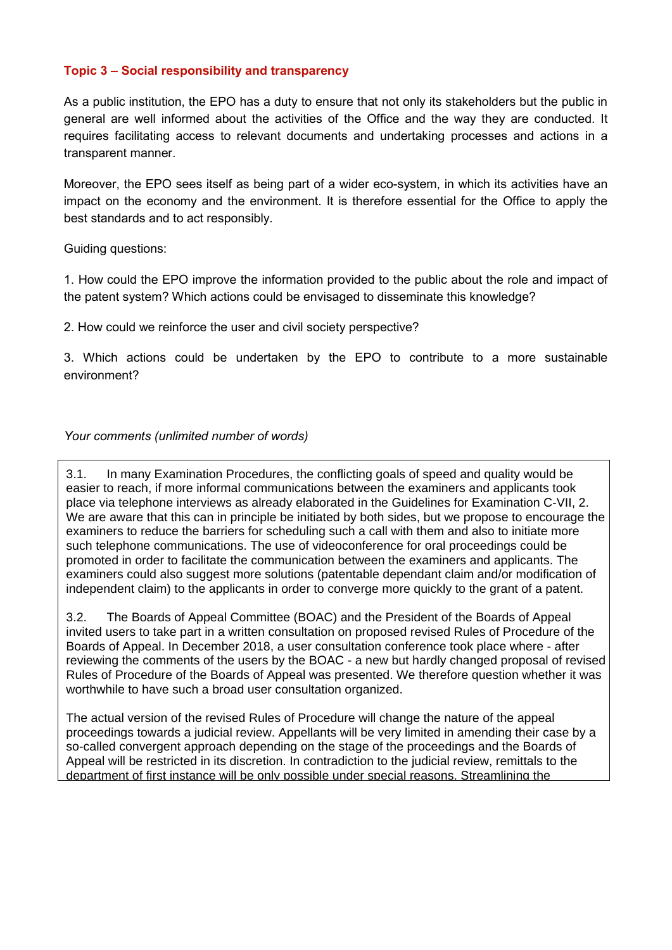# **Topic 3 – Social responsibility and transparency**

As a public institution, the EPO has a duty to ensure that not only its stakeholders but the public in general are well informed about the activities of the Office and the way they are conducted. It requires facilitating access to relevant documents and undertaking processes and actions in a transparent manner.

Moreover, the EPO sees itself as being part of a wider eco-system, in which its activities have an impact on the economy and the environment. It is therefore essential for the Office to apply the best standards and to act responsibly.

Guiding questions:

1. How could the EPO improve the information provided to the public about the role and impact of the patent system? Which actions could be envisaged to disseminate this knowledge?

2. How could we reinforce the user and civil society perspective?

3. Which actions could be undertaken by the EPO to contribute to a more sustainable environment?

# *Your comments (unlimited number of words)*

3.1. In many Examination Procedures, the conflicting goals of speed and quality would be easier to reach, if more informal communications between the examiners and applicants took place via telephone interviews as already elaborated in the Guidelines for Examination C-VII, 2. We are aware that this can in principle be initiated by both sides, but we propose to encourage the examiners to reduce the barriers for scheduling such a call with them and also to initiate more such telephone communications. The use of videoconference for oral proceedings could be promoted in order to facilitate the communication between the examiners and applicants. The examiners could also suggest more solutions (patentable dependant claim and/or modification of independent claim) to the applicants in order to converge more quickly to the grant of a patent.

3.2. The Boards of Appeal Committee (BOAC) and the President of the Boards of Appeal invited users to take part in a written consultation on proposed revised Rules of Procedure of the Boards of Appeal. In December 2018, a user consultation conference took place where - after reviewing the comments of the users by the BOAC - a new but hardly changed proposal of revised Rules of Procedure of the Boards of Appeal was presented. We therefore question whether it was worthwhile to have such a broad user consultation organized.

The actual version of the revised Rules of Procedure will change the nature of the appeal proceedings towards a judicial review. Appellants will be very limited in amending their case by a so-called convergent approach depending on the stage of the proceedings and the Boards of Appeal will be restricted in its discretion. In contradiction to the judicial review, remittals to the department of first instance will be only possible under special reasons. Streamlining the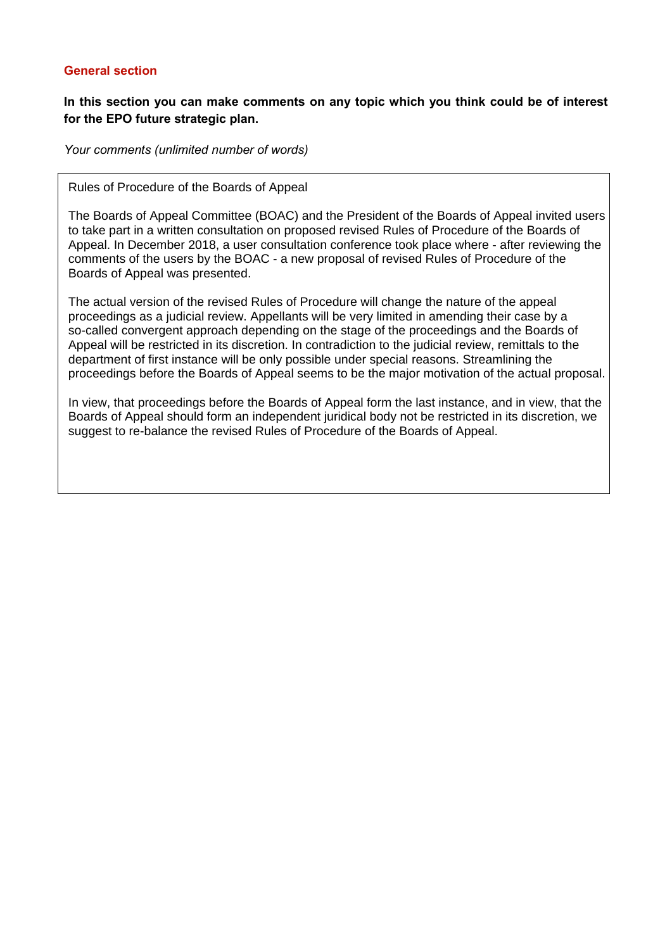## **General section**

# **In this section you can make comments on any topic which you think could be of interest for the EPO future strategic plan.**

*Your comments (unlimited number of words)*

Rules of Procedure of the Boards of Appeal

The Boards of Appeal Committee (BOAC) and the President of the Boards of Appeal invited users to take part in a written consultation on proposed revised Rules of Procedure of the Boards of Appeal. In December 2018, a user consultation conference took place where - after reviewing the comments of the users by the BOAC - a new proposal of revised Rules of Procedure of the Boards of Appeal was presented.

The actual version of the revised Rules of Procedure will change the nature of the appeal proceedings as a judicial review. Appellants will be very limited in amending their case by a so-called convergent approach depending on the stage of the proceedings and the Boards of Appeal will be restricted in its discretion. In contradiction to the judicial review, remittals to the department of first instance will be only possible under special reasons. Streamlining the proceedings before the Boards of Appeal seems to be the major motivation of the actual proposal.

In view, that proceedings before the Boards of Appeal form the last instance, and in view, that the Boards of Appeal should form an independent juridical body not be restricted in its discretion, we suggest to re-balance the revised Rules of Procedure of the Boards of Appeal.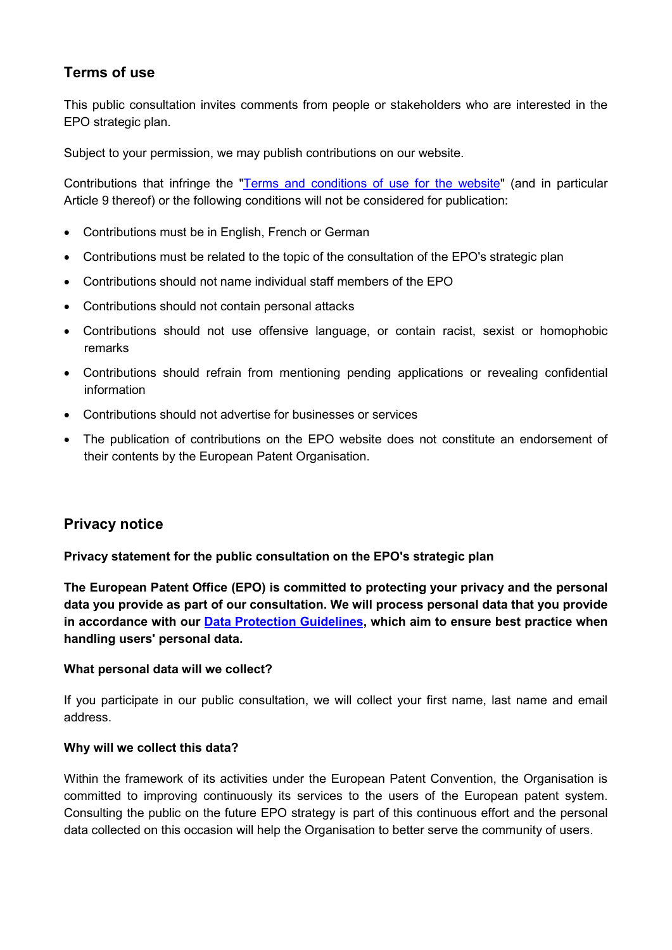# **Terms of use**

This public consultation invites comments from people or stakeholders who are interested in the EPO strategic plan.

Subject to your permission, we may publish contributions on our website.

Contributions that infringe the "Terms and conditions of use for the website" (and in particular Article 9 thereof) or the following conditions will not be considered for publication:

- Contributions must be in English, French or German
- Contributions must be related to the topic of the consultation of the EPO's strategic plan
- Contributions should not name individual staff members of the EPO
- Contributions should not contain personal attacks
- Contributions should not use offensive language, or contain racist, sexist or homophobic remarks
- Contributions should refrain from mentioning pending applications or revealing confidential information
- Contributions should not advertise for businesses or services
- The publication of contributions on the EPO website does not constitute an endorsement of their contents by the European Patent Organisation.

# **Privacy notice**

## **Privacy statement for the public consultation on the EPO's strategic plan**

**The European Patent Office (EPO) is committed to protecting your privacy and the personal data you provide as part of our consultation. We will process personal data that you provide in accordance with our Data Protection Guidelines, which aim to ensure best practice when handling users' personal data.** 

## **What personal data will we collect?**

If you participate in our public consultation, we will collect your first name, last name and email address.

## **Why will we collect this data?**

Within the framework of its activities under the European Patent Convention, the Organisation is committed to improving continuously its services to the users of the European patent system. Consulting the public on the future EPO strategy is part of this continuous effort and the personal data collected on this occasion will help the Organisation to better serve the community of users.